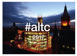